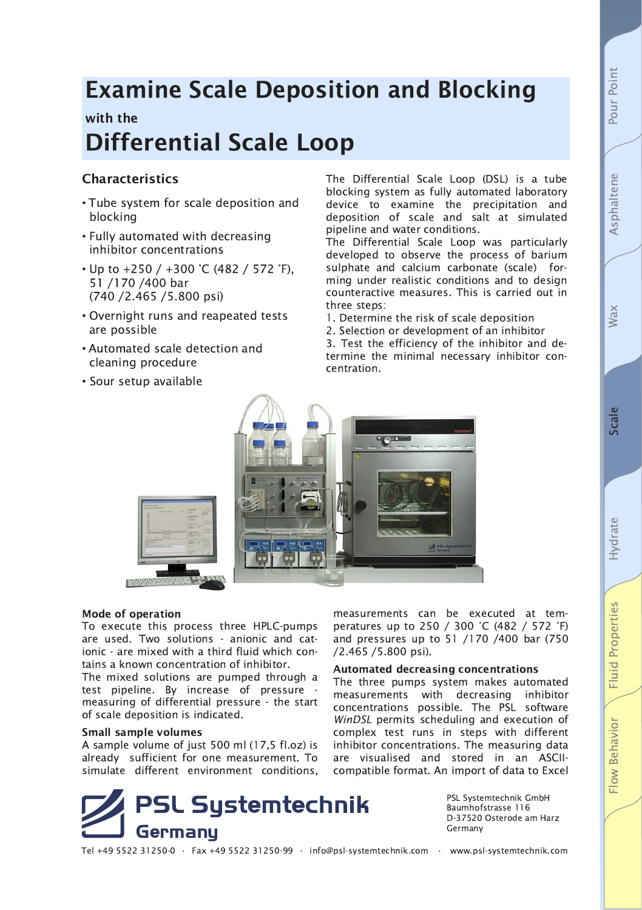# **Examine Scale Deposition and Blocking**

## with the

# **Differential Scale Loop**

### **Characteristics**

- Tube system for scale deposition and blocking
- Fully automated with decreasing inhibitor concentrations
- Up to  $+250 / +300$  °C (482 / 572 °F), 51 /170 /400 bar (740 / 2.465 / 5.800 psi)
- Overnight runs and reapeated tests are possible
- Automated scale detection and cleaning procedure
- Sour setup available

The Differential Scale Loop (DSL) is a tube blocking system as fully automated laboratory device to examine the precipitation and deposition of scale and salt at simulated pipeline and water conditions.

The Differential Scale Loop was particularly developed to observe the process of barium sulphate and calcium carbonate (scale) forming under realistic conditions and to design counteractive measures. This is carried out in three steps:

- 1. Determine the risk of scale deposition
- 2. Selection or development of an inhibitor

3. Test the efficiency of the inhibitor and determine the minimal necessary inhibitor concentration.

measurements can be executed at tem-

peratures up to 250 / 300 °C (482 / 572 °F)

and pressures up to 51 /170 /400 bar (750

The three pumps system makes automated

measurements with decreasing inhibitor

concentrations possible. The PSL software

WinDSL permits scheduling and execution of

complex test runs in steps with different

inhibitor concentrations. The measuring data

are visualised and stored in an ASCII-

compatible format. An import of data to Excel

**Automated decreasing concentrations** 



#### **Mode of operation**

To execute this process three HPLC-pumps are used. Two solutions - anionic and cationic - are mixed with a third fluid which contains a known concentration of inhibitor.

The mixed solutions are pumped through a test pipeline. By increase of pressure measuring of differential pressure - the start of scale deposition is indicated.

#### **Small sample volumes**

A sample volume of just 500 ml (17,5 fl.oz) is already sufficient for one measurement. To simulate different environment conditions.



PSL Systemtechnik GmbH Baumhofstrasse 116 D-37520 Osterode am Harz Germany

Tel +49 5522 31250-0 · Fax +49 5522 31250-99 · info@psl-systemtechnik.com · www.psl-systemtechnik.com

/2.465 /5.800 psi).

Wax

Pour Point